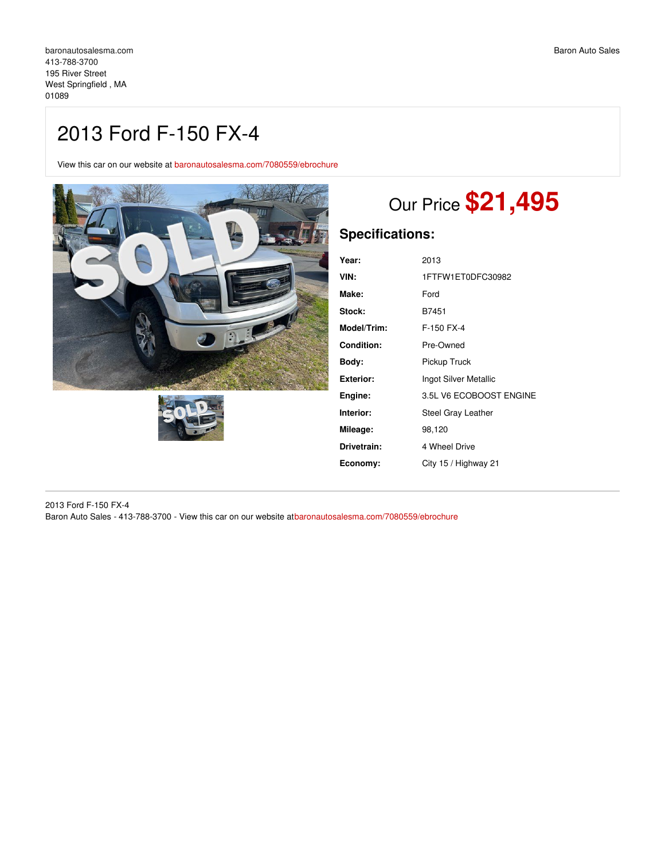## 2013 Ford F-150 FX-4

View this car on our website at [baronautosalesma.com/7080559/ebrochure](https://baronautosalesma.com/vehicle/7080559/2013-ford-f-150-fx-4-west-springfield-ma-01089/7080559/ebrochure)





# Our Price **\$21,495**

## **Specifications:**

| Year:              | 2013                    |
|--------------------|-------------------------|
| VIN:               | 1FTFW1ET0DFC30982       |
| Make:              | Ford                    |
| Stock:             | B7451                   |
| <b>Model/Trim:</b> | F-150 FX-4              |
| <b>Condition:</b>  | Pre-Owned               |
| Body:              | Pickup Truck            |
| Exterior:          | Ingot Silver Metallic   |
| Engine:            | 3.5L V6 ECOBOOST ENGINE |
| Interior:          | Steel Gray Leather      |
| Mileage:           | 98,120                  |
| Drivetrain:        | 4 Wheel Drive           |
| Economy:           | City 15 / Highway 21    |
|                    |                         |

2013 Ford F-150 FX-4 Baron Auto Sales - 413-788-3700 - View this car on our website at[baronautosalesma.com/7080559/ebrochure](https://baronautosalesma.com/vehicle/7080559/2013-ford-f-150-fx-4-west-springfield-ma-01089/7080559/ebrochure)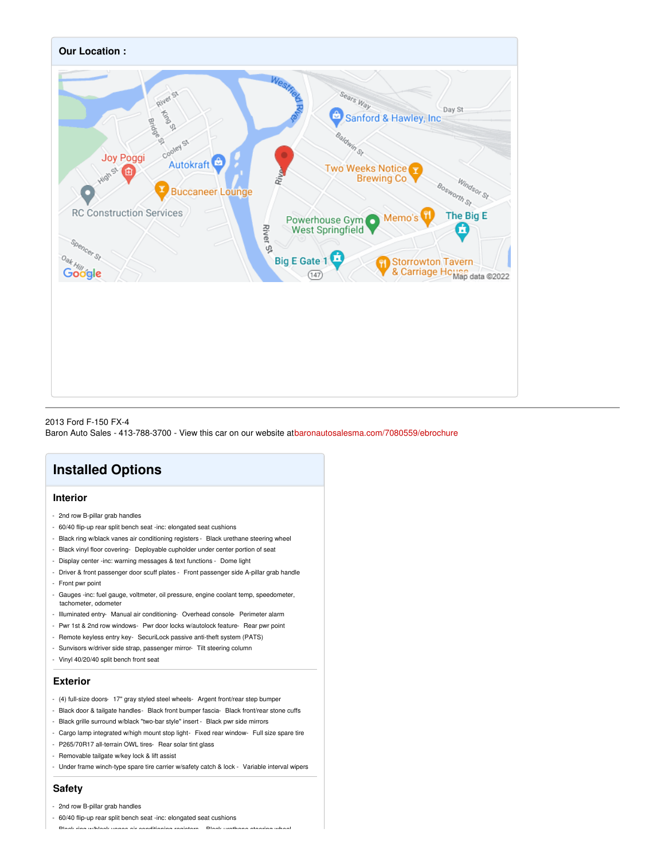

#### 2013 Ford F-150 FX-4 Baron Auto Sales - 413-788-3700 - View this car on our website at[baronautosalesma.com/7080559/ebrochure](https://baronautosalesma.com/vehicle/7080559/2013-ford-f-150-fx-4-west-springfield-ma-01089/7080559/ebrochure)

### **Installed Options**

#### **Interior**

- 2nd row B-pillar grab handles
- 60/40 flip-up rear split bench seat -inc: elongated seat cushions
- Black ring w/black vanes air conditioning registers Black urethane steering wheel
- Black vinyl floor covering- Deployable cupholder under center portion of seat
- Display center -inc: warning messages & text functions Dome light
- Driver & front passenger door scuff plates Front passenger side A-pillar grab handle - Front pwr point
- Gauges -inc: fuel gauge, voltmeter, oil pressure, engine coolant temp, speedometer, tachometer, odometer
- Illuminated entry- Manual air conditioning- Overhead console- Perimeter alarm
- Pwr 1st & 2nd row windows- Pwr door locks w/autolock feature- Rear pwr point
- Remote keyless entry key- SecuriLock passive anti-theft system (PATS)
- Sunvisors w/driver side strap, passenger mirror- Tilt steering column
- Vinyl 40/20/40 split bench front seat

#### **Exterior**

- (4) full-size doors- 17" gray styled steel wheels- Argent front/rear step bumper
- Black door & tailgate handles- Black front bumper fascia- Black front/rear stone cuffs
- Black grille surround w/black "two-bar style" insert Black pwr side mirrors
- Cargo lamp integrated w/high mount stop light- Fixed rear window- Full size spare tire
- P265/70R17 all-terrain OWL tires- Rear solar tint glass
- Removable tailgate w/key lock & lift assist
- Under frame winch-type spare tire carrier w/safety catch & lock Variable interval wipers

#### **Safety**

#### - 2nd row B-pillar grab handles

- 60/40 flip-up rear split bench seat -inc: elongated seat cushions

- Black ring w/black vanes air conditioning registers - Black urethane steering wheel